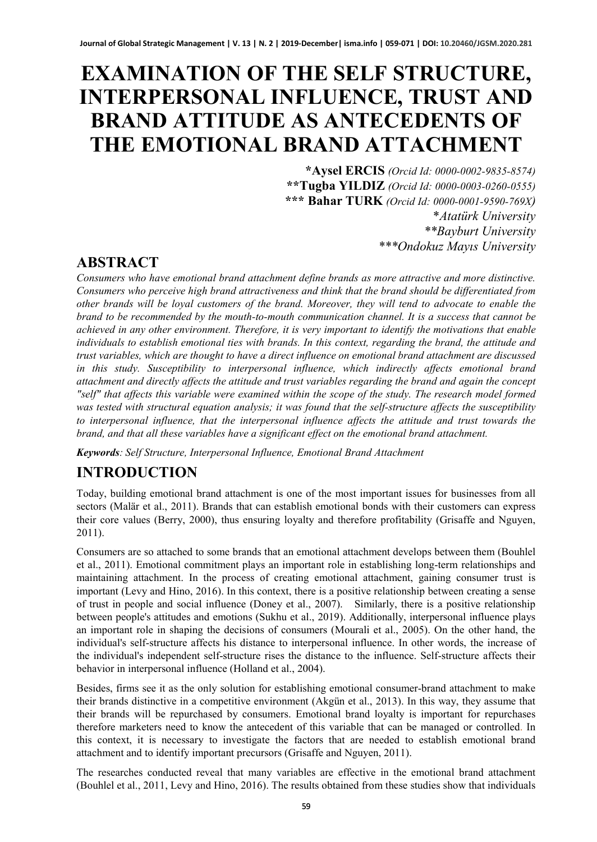# **EXAMINATION OF THE SELF STRUCTURE, INTERPERSONAL INFLUENCE, TRUST AND BRAND ATTITUDE AS ANTECEDENTS OF THE EMOTIONAL BRAND ATTACHMENT**

**\*Aysel ERCIS** *(Orcid Id: 0000-0002-9835-8574)* **\*\*Tugba YILDIZ** *(Orcid Id: 0000-0003-0260-0555)* **\*\*\* Bahar TURK** *(Orcid Id: 0000-0001-9590-769X)* \**Atatürk University \*\*Bayburt University \*\*\*Ondokuz Mayıs University*

#### **ABSTRACT**

*Consumers who have emotional brand attachment define brands as more attractive and more distinctive. Consumers who perceive high brand attractiveness and think that the brand should be differentiated from other brands will be loyal customers of the brand. Moreover, they will tend to advocate to enable the brand to be recommended by the mouth-to-mouth communication channel. It is a success that cannot be achieved in any other environment. Therefore, it is very important to identify the motivations that enable individuals to establish emotional ties with brands. In this context, regarding the brand, the attitude and trust variables, which are thought to have a direct influence on emotional brand attachment are discussed in this study. Susceptibility to interpersonal influence, which indirectly affects emotional brand attachment and directly affects the attitude and trust variables regarding the brand and again the concept "self" that affects this variable were examined within the scope of the study. The research model formed was tested with structural equation analysis; it was found that the self-structure affects the susceptibility to interpersonal influence, that the interpersonal influence affects the attitude and trust towards the brand, and that all these variables have a significant effect on the emotional brand attachment.*

*Keywords: Self Structure, Interpersonal Influence, Emotional Brand Attachment*

## **INTRODUCTION**

Today, building emotional brand attachment is one of the most important issues for businesses from all sectors (Malär et al., 2011). Brands that can establish emotional bonds with their customers can express their core values (Berry, 2000), thus ensuring loyalty and therefore profitability (Grisaffe and Nguyen, 2011).

Consumers are so attached to some brands that an emotional attachment develops between them (Bouhlel et al., 2011). Emotional commitment plays an important role in establishing long-term relationships and maintaining attachment. In the process of creating emotional attachment, gaining consumer trust is important (Levy and Hino, 2016). In this context, there is a positive relationship between creating a sense of trust in people and social influence (Doney et al., 2007). Similarly, there is a positive relationship between people's attitudes and emotions (Sukhu et al., 2019). Additionally, interpersonal influence plays an important role in shaping the decisions of consumers (Mourali et al., 2005). On the other hand, the individual's self-structure affects his distance to interpersonal influence. In other words, the increase of the individual's independent self-structure rises the distance to the influence. Self-structure affects their behavior in interpersonal influence (Holland et al., 2004).

Besides, firms see it as the only solution for establishing emotional consumer-brand attachment to make their brands distinctive in a competitive environment (Akgün et al., 2013). In this way, they assume that their brands will be repurchased by consumers. Emotional brand loyalty is important for repurchases therefore marketers need to know the antecedent of this variable that can be managed or controlled. In this context, it is necessary to investigate the factors that are needed to establish emotional brand attachment and to identify important precursors (Grisaffe and Nguyen, 2011).

The researches conducted reveal that many variables are effective in the emotional brand attachment (Bouhlel et al., 2011, Levy and Hino, 2016). The results obtained from these studies show that individuals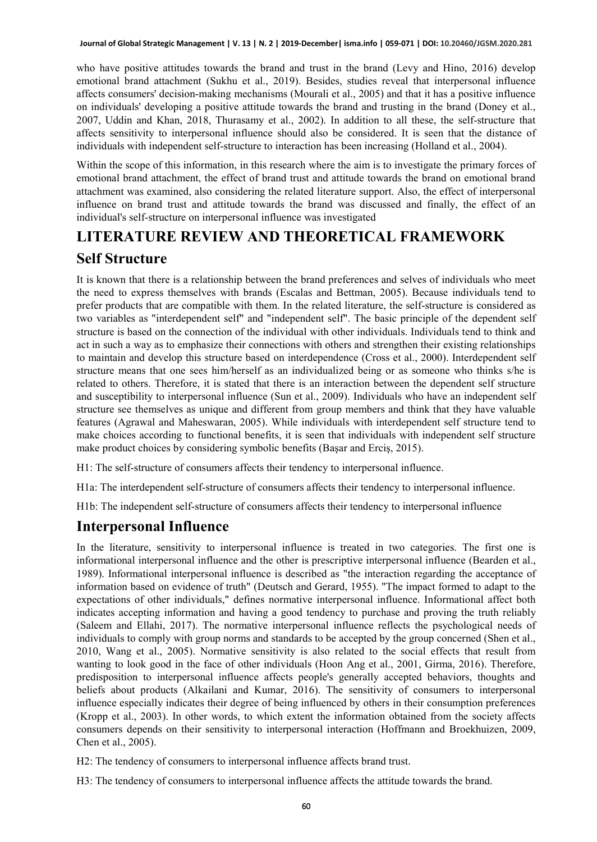who have positive attitudes towards the brand and trust in the brand (Levy and Hino, 2016) develop emotional brand attachment (Sukhu et al., 2019). Besides, studies reveal that interpersonal influence affects consumers' decision-making mechanisms (Mourali et al., 2005) and that it has a positive influence on individuals' developing a positive attitude towards the brand and trusting in the brand (Doney et al., 2007, Uddin and Khan, 2018, Thurasamy et al., 2002). In addition to all these, the self-structure that affects sensitivity to interpersonal influence should also be considered. It is seen that the distance of individuals with independent self-structure to interaction has been increasing (Holland et al., 2004).

Within the scope of this information, in this research where the aim is to investigate the primary forces of emotional brand attachment, the effect of brand trust and attitude towards the brand on emotional brand attachment was examined, also considering the related literature support. Also, the effect of interpersonal influence on brand trust and attitude towards the brand was discussed and finally, the effect of an individual's self-structure on interpersonal influence was investigated

# **LITERATURE REVIEW AND THEORETICAL FRAMEWORK Self Structure**

It is known that there is a relationship between the brand preferences and selves of individuals who meet the need to express themselves with brands (Escalas and Bettman, 2005). Because individuals tend to prefer products that are compatible with them. In the related literature, the self-structure is considered as two variables as "interdependent self" and "independent self". The basic principle of the dependent self structure is based on the connection of the individual with other individuals. Individuals tend to think and act in such a way as to emphasize their connections with others and strengthen their existing relationships to maintain and develop this structure based on interdependence (Cross et al., 2000). Interdependent self structure means that one sees him/herself as an individualized being or as someone who thinks s/he is related to others. Therefore, it is stated that there is an interaction between the dependent self structure and susceptibility to interpersonal influence (Sun et al., 2009). Individuals who have an independent self structure see themselves as unique and different from group members and think that they have valuable features (Agrawal and Maheswaran, 2005). While individuals with interdependent self structure tend to make choices according to functional benefits, it is seen that individuals with independent self structure make product choices by considering symbolic benefits (Başar and Erciş, 2015).

H1: The self-structure of consumers affects their tendency to interpersonal influence.

H1a: The interdependent self-structure of consumers affects their tendency to interpersonal influence.

H1b: The independent self-structure of consumers affects their tendency to interpersonal influence

#### **Interpersonal Influence**

In the literature, sensitivity to interpersonal influence is treated in two categories. The first one is informational interpersonal influence and the other is prescriptive interpersonal influence (Bearden et al., 1989). Informational interpersonal influence is described as "the interaction regarding the acceptance of information based on evidence of truth" (Deutsch and Gerard, 1955). "The impact formed to adapt to the expectations of other individuals," defines normative interpersonal influence. Informational affect both indicates accepting information and having a good tendency to purchase and proving the truth reliably (Saleem and Ellahi, 2017). The normative interpersonal influence reflects the psychological needs of individuals to comply with group norms and standards to be accepted by the group concerned (Shen et al., 2010, Wang et al., 2005). Normative sensitivity is also related to the social effects that result from wanting to look good in the face of other individuals (Hoon Ang et al., 2001, Girma, 2016). Therefore, predisposition to interpersonal influence affects people's generally accepted behaviors, thoughts and beliefs about products (Alkailani and Kumar, 2016). The sensitivity of consumers to interpersonal influence especially indicates their degree of being influenced by others in their consumption preferences (Kropp et al., 2003). In other words, to which extent the information obtained from the society affects consumers depends on their sensitivity to interpersonal interaction (Hoffmann and Broekhuizen, 2009, Chen et al., 2005).

H2: The tendency of consumers to interpersonal influence affects brand trust.

H3: The tendency of consumers to interpersonal influence affects the attitude towards the brand.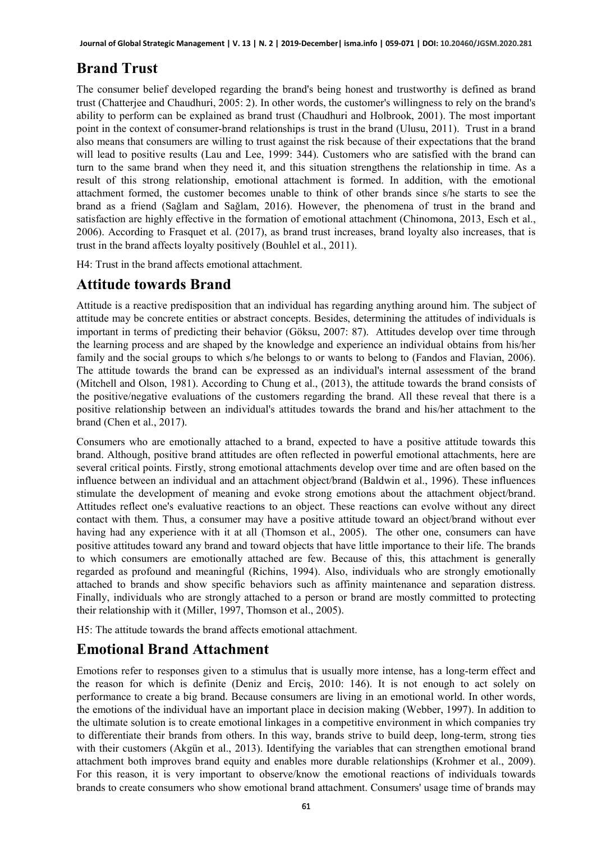### **Brand Trust**

The consumer belief developed regarding the brand's being honest and trustworthy is defined as brand trust (Chatterjee and Chaudhuri, 2005: 2). In other words, the customer's willingness to rely on the brand's ability to perform can be explained as brand trust (Chaudhuri and Holbrook, 2001). The most important point in the context of consumer-brand relationships is trust in the brand (Ulusu, 2011). Trust in a brand also means that consumers are willing to trust against the risk because of their expectations that the brand will lead to positive results (Lau and Lee, 1999: 344). Customers who are satisfied with the brand can turn to the same brand when they need it, and this situation strengthens the relationship in time. As a result of this strong relationship, emotional attachment is formed. In addition, with the emotional attachment formed, the customer becomes unable to think of other brands since s/he starts to see the brand as a friend (Sağlam and Sağlam, 2016). However, the phenomena of trust in the brand and satisfaction are highly effective in the formation of emotional attachment (Chinomona, 2013, Esch et al., 2006). According to Frasquet et al. (2017), as brand trust increases, brand loyalty also increases, that is trust in the brand affects loyalty positively (Bouhlel et al., 2011).

H4: Trust in the brand affects emotional attachment.

#### **Attitude towards Brand**

Attitude is a reactive predisposition that an individual has regarding anything around him. The subject of attitude may be concrete entities or abstract concepts. Besides, determining the attitudes of individuals is important in terms of predicting their behavior (Göksu, 2007: 87). Attitudes develop over time through the learning process and are shaped by the knowledge and experience an individual obtains from his/her family and the social groups to which s/he belongs to or wants to belong to (Fandos and Flavian, 2006). The attitude towards the brand can be expressed as an individual's internal assessment of the brand (Mitchell and Olson, 1981). According to Chung et al., (2013), the attitude towards the brand consists of the positive/negative evaluations of the customers regarding the brand. All these reveal that there is a positive relationship between an individual's attitudes towards the brand and his/her attachment to the brand (Chen et al., 2017).

Consumers who are emotionally attached to a brand, expected to have a positive attitude towards this brand. Although, positive brand attitudes are often reflected in powerful emotional attachments, here are several critical points. Firstly, strong emotional attachments develop over time and are often based on the influence between an individual and an attachment object/brand (Baldwin et al., 1996). These influences stimulate the development of meaning and evoke strong emotions about the attachment object/brand. Attitudes reflect one's evaluative reactions to an object. These reactions can evolve without any direct contact with them. Thus, a consumer may have a positive attitude toward an object/brand without ever having had any experience with it at all (Thomson et al., 2005). The other one, consumers can have positive attitudes toward any brand and toward objects that have little importance to their life. The brands to which consumers are emotionally attached are few. Because of this, this attachment is generally regarded as profound and meaningful (Richins, 1994). Also, individuals who are strongly emotionally attached to brands and show specific behaviors such as affinity maintenance and separation distress. Finally, individuals who are strongly attached to a person or brand are mostly committed to protecting their relationship with it (Miller, 1997, Thomson et al., 2005).

H5: The attitude towards the brand affects emotional attachment.

#### **Emotional Brand Attachment**

Emotions refer to responses given to a stimulus that is usually more intense, has a long-term effect and the reason for which is definite (Deniz and Erciş, 2010: 146). It is not enough to act solely on performance to create a big brand. Because consumers are living in an emotional world. In other words, the emotions of the individual have an important place in decision making (Webber, 1997). In addition to the ultimate solution is to create emotional linkages in a competitive environment in which companies try to differentiate their brands from others. In this way, brands strive to build deep, long-term, strong ties with their customers (Akgün et al., 2013). Identifying the variables that can strengthen emotional brand attachment both improves brand equity and enables more durable relationships (Krohmer et al., 2009). For this reason, it is very important to observe/know the emotional reactions of individuals towards brands to create consumers who show emotional brand attachment. Consumers' usage time of brands may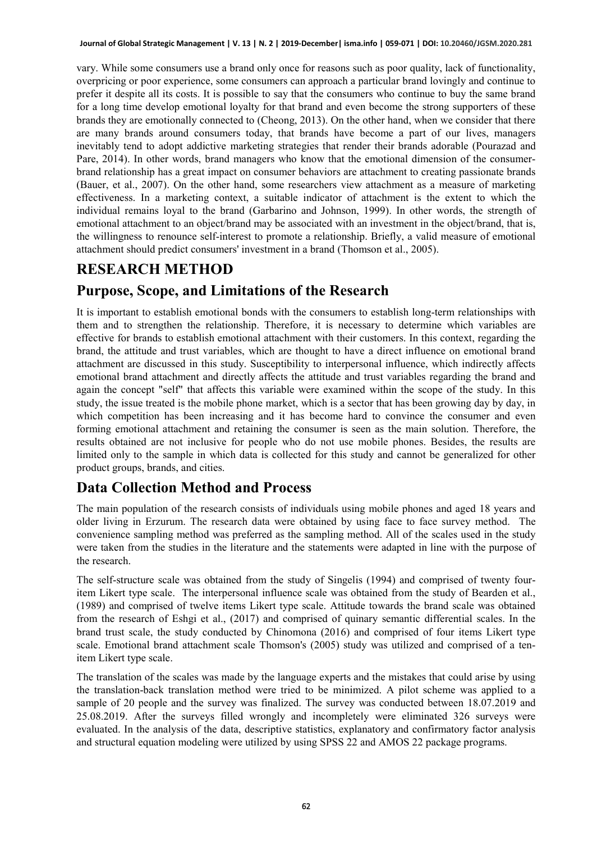vary. While some consumers use a brand only once for reasons such as poor quality, lack of functionality, overpricing or poor experience, some consumers can approach a particular brand lovingly and continue to prefer it despite all its costs. It is possible to say that the consumers who continue to buy the same brand for a long time develop emotional loyalty for that brand and even become the strong supporters of these brands they are emotionally connected to (Cheong, 2013). On the other hand, when we consider that there are many brands around consumers today, that brands have become a part of our lives, managers inevitably tend to adopt addictive marketing strategies that render their brands adorable (Pourazad and Pare, 2014). In other words, brand managers who know that the emotional dimension of the consumerbrand relationship has a great impact on consumer behaviors are attachment to creating passionate brands (Bauer, et al., 2007). On the other hand, some researchers view attachment as a measure of marketing effectiveness. In a marketing context, a suitable indicator of attachment is the extent to which the individual remains loyal to the brand (Garbarino and Johnson, 1999). In other words, the strength of emotional attachment to an object/brand may be associated with an investment in the object/brand, that is, the willingness to renounce self-interest to promote a relationship. Briefly, a valid measure of emotional attachment should predict consumers' investment in a brand (Thomson et al., 2005).

#### **RESEARCH METHOD**

#### **Purpose, Scope, and Limitations of the Research**

It is important to establish emotional bonds with the consumers to establish long-term relationships with them and to strengthen the relationship. Therefore, it is necessary to determine which variables are effective for brands to establish emotional attachment with their customers. In this context, regarding the brand, the attitude and trust variables, which are thought to have a direct influence on emotional brand attachment are discussed in this study. Susceptibility to interpersonal influence, which indirectly affects emotional brand attachment and directly affects the attitude and trust variables regarding the brand and again the concept "self" that affects this variable were examined within the scope of the study. In this study, the issue treated is the mobile phone market, which is a sector that has been growing day by day, in which competition has been increasing and it has become hard to convince the consumer and even forming emotional attachment and retaining the consumer is seen as the main solution. Therefore, the results obtained are not inclusive for people who do not use mobile phones. Besides, the results are limited only to the sample in which data is collected for this study and cannot be generalized for other product groups, brands, and cities.

#### **Data Collection Method and Process**

The main population of the research consists of individuals using mobile phones and aged 18 years and older living in Erzurum. The research data were obtained by using face to face survey method. The convenience sampling method was preferred as the sampling method. All of the scales used in the study were taken from the studies in the literature and the statements were adapted in line with the purpose of the research.

The self-structure scale was obtained from the study of Singelis (1994) and comprised of twenty fouritem Likert type scale. The interpersonal influence scale was obtained from the study of Bearden et al., (1989) and comprised of twelve items Likert type scale. Attitude towards the brand scale was obtained from the research of Eshgi et al., (2017) and comprised of quinary semantic differential scales. In the brand trust scale, the study conducted by Chinomona (2016) and comprised of four items Likert type scale. Emotional brand attachment scale Thomson's (2005) study was utilized and comprised of a tenitem Likert type scale.

The translation of the scales was made by the language experts and the mistakes that could arise by using the translation-back translation method were tried to be minimized. A pilot scheme was applied to a sample of 20 people and the survey was finalized. The survey was conducted between 18.07.2019 and 25.08.2019. After the surveys filled wrongly and incompletely were eliminated 326 surveys were evaluated. In the analysis of the data, descriptive statistics, explanatory and confirmatory factor analysis and structural equation modeling were utilized by using SPSS 22 and AMOS 22 package programs.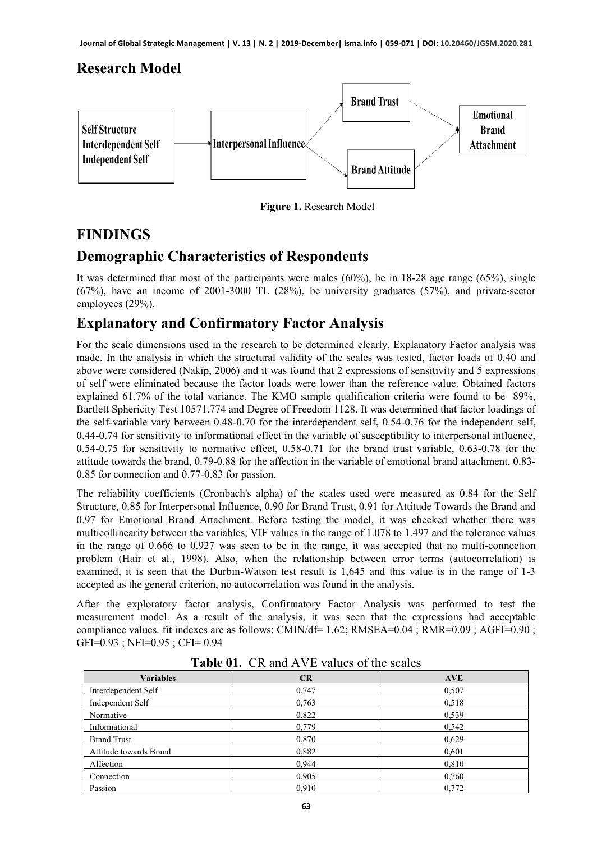#### **Research Model**



 **Figure 1.** Research Model

#### **FINDINGS**

#### **Demographic Characteristics of Respondents**

It was determined that most of the participants were males (60%), be in 18-28 age range (65%), single (67%), have an income of 2001-3000 TL (28%), be university graduates (57%), and private-sector employees (29%).

#### **Explanatory and Confirmatory Factor Analysis**

For the scale dimensions used in the research to be determined clearly, Explanatory Factor analysis was made. In the analysis in which the structural validity of the scales was tested, factor loads of 0.40 and above were considered (Nakip, 2006) and it was found that 2 expressions of sensitivity and 5 expressions of self were eliminated because the factor loads were lower than the reference value. Obtained factors explained 61.7% of the total variance. The KMO sample qualification criteria were found to be 89%, Bartlett Sphericity Test 10571.774 and Degree of Freedom 1128. It was determined that factor loadings of the self-variable vary between 0.48-0.70 for the interdependent self, 0.54-0.76 for the independent self, 0.44-0.74 for sensitivity to informational effect in the variable of susceptibility to interpersonal influence, 0.54-0.75 for sensitivity to normative effect, 0.58-0.71 for the brand trust variable, 0.63-0.78 for the attitude towards the brand, 0.79-0.88 for the affection in the variable of emotional brand attachment, 0.83- 0.85 for connection and 0.77-0.83 for passion.

The reliability coefficients (Cronbach's alpha) of the scales used were measured as 0.84 for the Self Structure, 0.85 for Interpersonal Influence, 0.90 for Brand Trust, 0.91 for Attitude Towards the Brand and 0.97 for Emotional Brand Attachment. Before testing the model, it was checked whether there was multicollinearity between the variables; VIF values in the range of 1.078 to 1.497 and the tolerance values in the range of 0.666 to 0.927 was seen to be in the range, it was accepted that no multi-connection problem (Hair et al., 1998). Also, when the relationship between error terms (autocorrelation) is examined, it is seen that the Durbin-Watson test result is 1,645 and this value is in the range of 1-3 accepted as the general criterion, no autocorrelation was found in the analysis.

After the exploratory factor analysis, Confirmatory Factor Analysis was performed to test the measurement model. As a result of the analysis, it was seen that the expressions had acceptable compliance values. fit indexes are as follows: CMIN/df= 1.62; RMSEA=0.04 ; RMR=0.09 ; AGFI=0.90 ; GFI=0.93 ; NFI=0.95 ; CFI= 0.94

| <b>Variables</b>       | CR    | <b>AVE</b> |
|------------------------|-------|------------|
| Interdependent Self    | 0,747 | 0,507      |
| Independent Self       | 0,763 | 0,518      |
| Normative              | 0,822 | 0,539      |
| Informational          | 0,779 | 0,542      |
| <b>Brand Trust</b>     | 0,870 | 0,629      |
| Attitude towards Brand | 0,882 | 0,601      |
| Affection              | 0.944 | 0,810      |
| Connection             | 0,905 | 0,760      |
| Passion                | 0,910 | 0,772      |

**Table 01.** CR and AVE values of the scales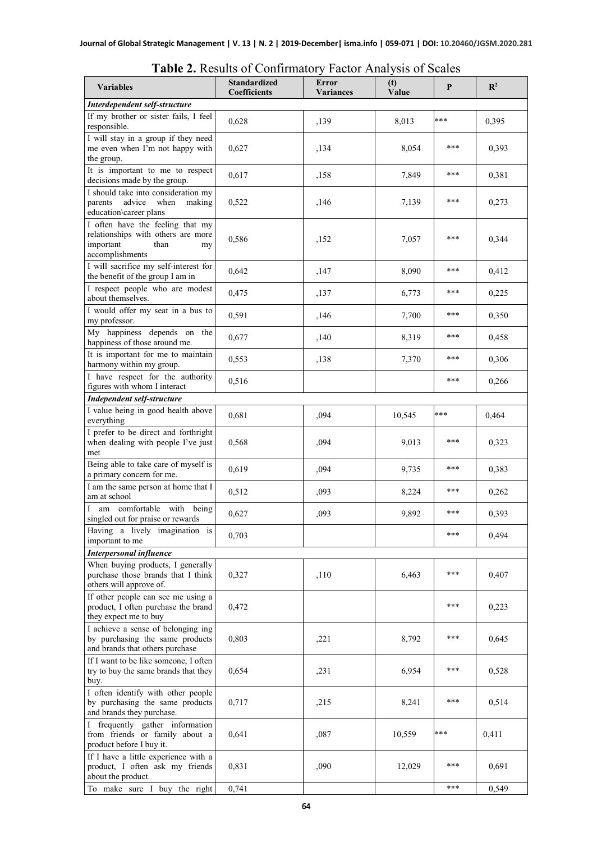| <b>Variables</b>                                                                                                     | <b>Standardized</b><br>Coefficients | Error<br><b>Variances</b> | (t)<br>Value | P   | $\mathbb{R}^2$ |
|----------------------------------------------------------------------------------------------------------------------|-------------------------------------|---------------------------|--------------|-----|----------------|
| Interdependent self-structure                                                                                        |                                     |                           |              |     |                |
| If my brother or sister fails, I feel<br>responsible.                                                                | 0,628                               | ,139                      | 8,013        | *** | 0,395          |
| I will stay in a group if they need<br>me even when I'm not happy with<br>the group.                                 | 0,627                               | ,134                      | 8,054        | *** | 0,393          |
| It is important to me to respect<br>decisions made by the group.                                                     | 0,617                               | ,158                      | 7,849        | *** | 0,381          |
| I should take into consideration my<br>parents<br>advice<br>when<br>making<br>education\career plans                 | 0,522                               | ,146                      | 7,139        | *** | 0,273          |
| I often have the feeling that my<br>relationships with others are more<br>important<br>than<br>my<br>accomplishments | 0,586                               | ,152                      | 7,057        | *** | 0,344          |
| I will sacrifice my self-interest for<br>the benefit of the group I am in                                            | 0,642                               | ,147                      | 8,090        | *** | 0,412          |
| I respect people who are modest<br>about themselves.                                                                 | 0,475                               | ,137                      | 6,773        | *** | 0,225          |
| I would offer my seat in a bus to<br>my professor.                                                                   | 0,591                               | ,146                      | 7,700        | *** | 0,350          |
| My happiness depends on the<br>happiness of those around me.                                                         | 0,677                               | ,140                      | 8,319        | *** | 0,458          |
| It is important for me to maintain<br>harmony within my group.                                                       | 0,553                               | ,138                      | 7,370        | *** | 0,306          |
| I have respect for the authority<br>figures with whom I interact                                                     | 0,516                               |                           |              | *** | 0,266          |
| Independent self-structure                                                                                           |                                     |                           |              |     |                |
| I value being in good health above<br>everything                                                                     | 0,681                               | ,094                      | 10,545       | *** | 0,464          |
| I prefer to be direct and forthright<br>when dealing with people I've just<br>met                                    | 0,568                               | ,094                      | 9,013        | *** | 0,323          |
| Being able to take care of myself is<br>a primary concern for me.                                                    | 0,619                               | ,094                      | 9,735        | *** | 0,383          |
| I am the same person at home that I<br>am at school                                                                  | 0,512                               | ,093                      | 8,224        | *** | 0,262          |
| am comfortable with being<br>L<br>singled out for praise or rewards                                                  | 0,627                               | ,093                      | 9,892        | *** | 0,393          |
| Having a lively imagination is<br>important to me                                                                    | 0,703                               |                           |              | *** | 0,494          |
| <b>Interpersonal influence</b>                                                                                       |                                     |                           |              |     |                |
| When buying products, I generally<br>purchase those brands that I think<br>others will approve of.                   | 0,327                               | ,110                      | 6,463        | *** | 0,407          |
| If other people can see me using a<br>product, I often purchase the brand<br>they expect me to buy                   | 0,472                               |                           |              | *** | 0,223          |
| I achieve a sense of belonging ing<br>by purchasing the same products<br>and brands that others purchase             | 0,803                               | ,221                      | 8,792        | *** | 0,645          |
| If I want to be like someone, I often<br>try to buy the same brands that they<br>buy.                                | 0,654                               | ,231                      | 6,954        | *** | 0,528          |
| I often identify with other people                                                                                   |                                     |                           |              |     |                |

| Table 2. Results of Confirmatory Factor Analysis of Scales |  |
|------------------------------------------------------------|--|
|------------------------------------------------------------|--|

To make sure I buy the right  $0,741$   $*$   $*$   $0,549$ 

0,717 ,215 | 8,241 | \*\*\* | 0,514

0,641 ,087 | 10,559 \*\*\* | 0,411

0,831 ,090 | 12,029 | \*\*\* | 0,691

by purchasing the same products and brands they purchase.

I frequently gather information from friends or family about a

If I have a little experience with a product, I often ask my friends

product before I buy it.

about the product.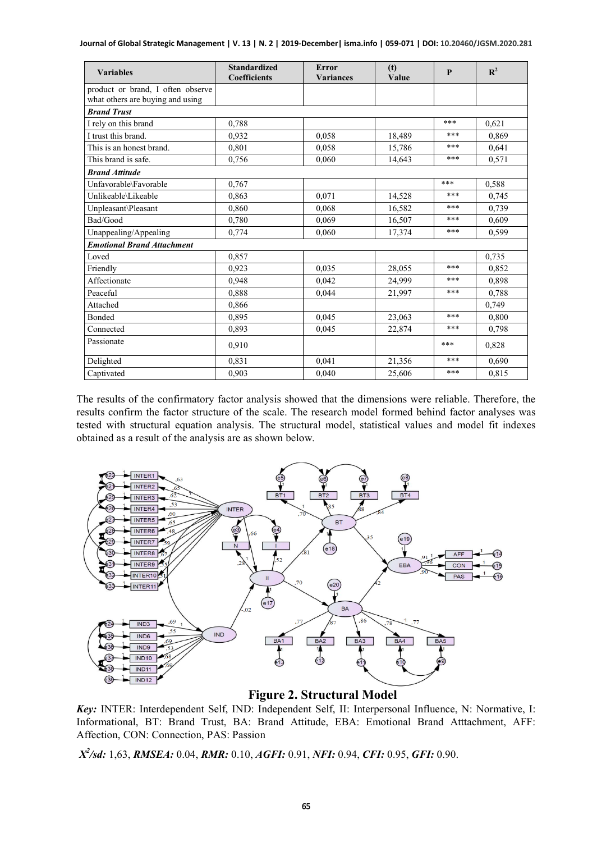| <b>Variables</b>                                                      | <b>Standardized</b><br><b>Coefficients</b> | <b>Error</b><br><b>Variances</b> | (t)<br>Value | P   | $\mathbf{R}^2$ |
|-----------------------------------------------------------------------|--------------------------------------------|----------------------------------|--------------|-----|----------------|
| product or brand, I often observe<br>what others are buying and using |                                            |                                  |              |     |                |
| <b>Brand Trust</b>                                                    |                                            |                                  |              |     |                |
| I rely on this brand                                                  | 0.788                                      |                                  |              | *** | 0.621          |
| I trust this brand.                                                   | 0.932                                      | 0.058                            | 18,489       | *** | 0.869          |
| This is an honest brand.                                              | 0,801                                      | 0,058                            | 15,786       | *** | 0,641          |
| This brand is safe.                                                   | 0.756                                      | 0.060                            | 14.643       | *** | 0,571          |
| <b>Brand Attitude</b>                                                 |                                            |                                  |              |     |                |
| Unfavorable\Favorable                                                 | 0,767                                      |                                  |              | *** | 0.588          |
| Unlikeable\Likeable                                                   | 0.863                                      | 0,071                            | 14,528       | *** | 0,745          |
| Unpleasant\Pleasant                                                   | 0,860                                      | 0.068                            | 16,582       | *** | 0,739          |
| Bad/Good                                                              | 0,780                                      | 0.069                            | 16,507       | *** | 0.609          |
| Unappealing/Appealing                                                 | 0.774                                      | 0.060                            | 17,374       | *** | 0,599          |
| <b>Emotional Brand Attachment</b>                                     |                                            |                                  |              |     |                |
| Loved                                                                 | 0.857                                      |                                  |              |     | 0,735          |
| Friendly                                                              | 0.923                                      | 0.035                            | 28,055       | *** | 0.852          |
| Affectionate                                                          | 0,948                                      | 0.042                            | 24,999       | *** | 0,898          |
| Peaceful                                                              | 0.888                                      | 0.044                            | 21.997       | *** | 0.788          |
| Attached                                                              | 0,866                                      |                                  |              |     | 0,749          |
| <b>Bonded</b>                                                         | 0.895                                      | 0.045                            | 23,063       | *** | 0.800          |
| Connected                                                             | 0,893                                      | 0,045                            | 22,874       | *** | 0,798          |
| Passionate                                                            | 0.910                                      |                                  |              | *** | 0,828          |
| Delighted                                                             | 0,831                                      | 0,041                            | 21,356       | *** | 0,690          |
| Captivated                                                            | 0,903                                      | 0,040                            | 25,606       | *** | 0,815          |

The results of the confirmatory factor analysis showed that the dimensions were reliable. Therefore, the results confirm the factor structure of the scale. The research model formed behind factor analyses was tested with structural equation analysis. The structural model, statistical values and model fit indexes obtained as a result of the analysis are as shown below.



 **Figure 2. Structural Model**

*Key:* INTER: Interdependent Self, IND: Independent Self, II: Interpersonal Influence, N: Normative, I: Informational, BT: Brand Trust, BA: Brand Attitude, EBA: Emotional Brand Atttachment, AFF: Affection, CON: Connection, PAS: Passion

*X2 /sd:* 1,63, *RMSEA:* 0.04, *RMR:* 0.10, *AGFI:* 0.91, *NFI:* 0.94, *CFI:* 0.95, *GFI:* 0.90.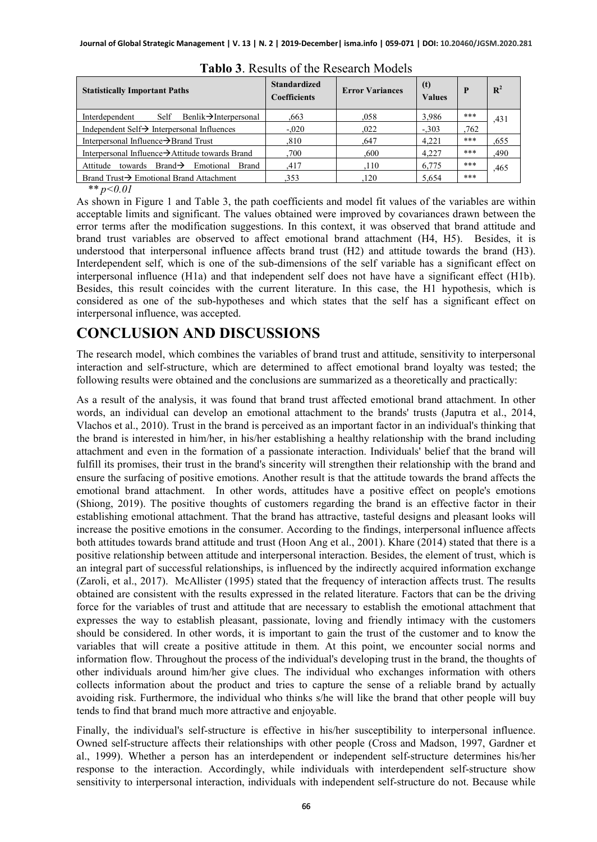| <b>Statistically Important Paths</b>                              | <b>Standardized</b><br><b>Coefficients</b> | <b>Error Variances</b> | (t)<br><b>Values</b> | P     | $\mathbf{R}^2$ |
|-------------------------------------------------------------------|--------------------------------------------|------------------------|----------------------|-------|----------------|
| Self Benlik $\rightarrow$ Interpersonal<br>Interdependent         | .663                                       | .058                   | 3,986                | $***$ | .431           |
| Independent Self $\rightarrow$ Interpersonal Influences           | $-.020$                                    | .022                   | $-.303$              | .762  |                |
| Interpersonal Influence→Brand Trust                               | .810                                       | .647                   | 4,221                | $***$ | .655           |
| Interpersonal Influence→Attitude towards Brand                    | .700                                       | .600                   | 4.227                | $***$ | ,490           |
| towards Brand $\rightarrow$ Emotional<br>Attitude<br><b>Brand</b> | .417                                       | .110                   | 6,775                | $***$ | .465           |
| Brand Trust $\rightarrow$ Emotional Brand Attachment              | .353                                       | 120                    | 5.654                | $***$ |                |

| Tablo 3. Results of the Research Models |  |
|-----------------------------------------|--|
|-----------------------------------------|--|

*\*\* p<0.01*

As shown in Figure 1 and Table 3, the path coefficients and model fit values of the variables are within acceptable limits and significant. The values obtained were improved by covariances drawn between the error terms after the modification suggestions. In this context, it was observed that brand attitude and brand trust variables are observed to affect emotional brand attachment (H4, H5). Besides, it is understood that interpersonal influence affects brand trust (H2) and attitude towards the brand (H3). Interdependent self, which is one of the sub-dimensions of the self variable has a significant effect on interpersonal influence (H1a) and that independent self does not have have a significant effect (H1b). Besides, this result coincides with the current literature. In this case, the H1 hypothesis, which is considered as one of the sub-hypotheses and which states that the self has a significant effect on interpersonal influence, was accepted.

#### **CONCLUSION AND DISCUSSIONS**

The research model, which combines the variables of brand trust and attitude, sensitivity to interpersonal interaction and self-structure, which are determined to affect emotional brand loyalty was tested; the following results were obtained and the conclusions are summarized as a theoretically and practically:

As a result of the analysis, it was found that brand trust affected emotional brand attachment. In other words, an individual can develop an emotional attachment to the brands' trusts (Japutra et al., 2014, Vlachos et al., 2010). Trust in the brand is perceived as an important factor in an individual's thinking that the brand is interested in him/her, in his/her establishing a healthy relationship with the brand including attachment and even in the formation of a passionate interaction. Individuals' belief that the brand will fulfill its promises, their trust in the brand's sincerity will strengthen their relationship with the brand and ensure the surfacing of positive emotions. Another result is that the attitude towards the brand affects the emotional brand attachment. In other words, attitudes have a positive effect on people's emotions (Shiong, 2019). The positive thoughts of customers regarding the brand is an effective factor in their establishing emotional attachment. That the brand has attractive, tasteful designs and pleasant looks will increase the positive emotions in the consumer. According to the findings, interpersonal influence affects both attitudes towards brand attitude and trust (Hoon Ang et al., 2001). Khare (2014) stated that there is a positive relationship between attitude and interpersonal interaction. Besides, the element of trust, which is an integral part of successful relationships, is influenced by the indirectly acquired information exchange (Zaroli, et al., 2017). McAllister (1995) stated that the frequency of interaction affects trust. The results obtained are consistent with the results expressed in the related literature. Factors that can be the driving force for the variables of trust and attitude that are necessary to establish the emotional attachment that expresses the way to establish pleasant, passionate, loving and friendly intimacy with the customers should be considered. In other words, it is important to gain the trust of the customer and to know the variables that will create a positive attitude in them. At this point, we encounter social norms and information flow. Throughout the process of the individual's developing trust in the brand, the thoughts of other individuals around him/her give clues. The individual who exchanges information with others collects information about the product and tries to capture the sense of a reliable brand by actually avoiding risk. Furthermore, the individual who thinks s/he will like the brand that other people will buy tends to find that brand much more attractive and enjoyable.

Finally, the individual's self-structure is effective in his/her susceptibility to interpersonal influence. Owned self-structure affects their relationships with other people (Cross and Madson, 1997, Gardner et al., 1999). Whether a person has an interdependent or independent self-structure determines his/her response to the interaction. Accordingly, while individuals with interdependent self-structure show sensitivity to interpersonal interaction, individuals with independent self-structure do not. Because while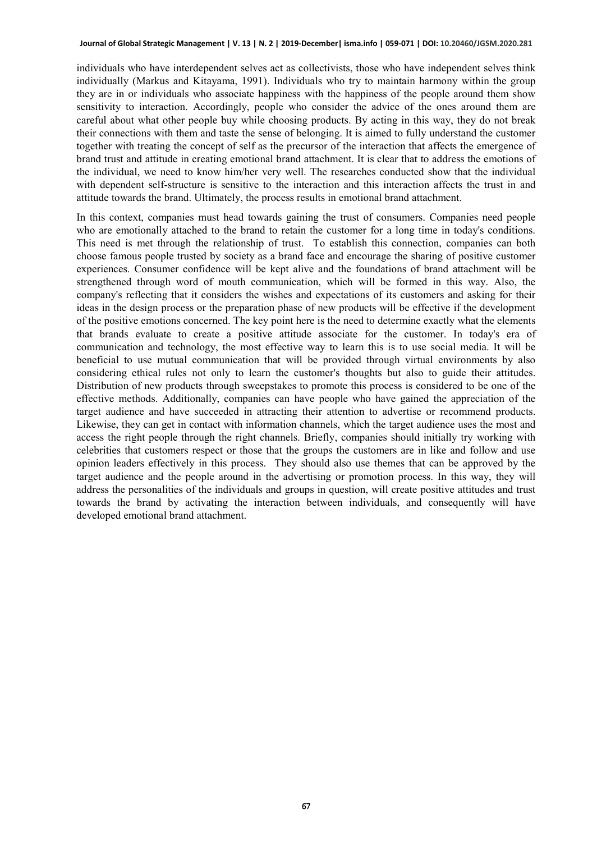individuals who have interdependent selves act as collectivists, those who have independent selves think individually (Markus and Kitayama, 1991). Individuals who try to maintain harmony within the group they are in or individuals who associate happiness with the happiness of the people around them show sensitivity to interaction. Accordingly, people who consider the advice of the ones around them are careful about what other people buy while choosing products. By acting in this way, they do not break their connections with them and taste the sense of belonging. It is aimed to fully understand the customer together with treating the concept of self as the precursor of the interaction that affects the emergence of brand trust and attitude in creating emotional brand attachment. It is clear that to address the emotions of the individual, we need to know him/her very well. The researches conducted show that the individual with dependent self-structure is sensitive to the interaction and this interaction affects the trust in and attitude towards the brand. Ultimately, the process results in emotional brand attachment.

In this context, companies must head towards gaining the trust of consumers. Companies need people who are emotionally attached to the brand to retain the customer for a long time in today's conditions. This need is met through the relationship of trust. To establish this connection, companies can both choose famous people trusted by society as a brand face and encourage the sharing of positive customer experiences. Consumer confidence will be kept alive and the foundations of brand attachment will be strengthened through word of mouth communication, which will be formed in this way. Also, the company's reflecting that it considers the wishes and expectations of its customers and asking for their ideas in the design process or the preparation phase of new products will be effective if the development of the positive emotions concerned. The key point here is the need to determine exactly what the elements that brands evaluate to create a positive attitude associate for the customer. In today's era of communication and technology, the most effective way to learn this is to use social media. It will be beneficial to use mutual communication that will be provided through virtual environments by also considering ethical rules not only to learn the customer's thoughts but also to guide their attitudes. Distribution of new products through sweepstakes to promote this process is considered to be one of the effective methods. Additionally, companies can have people who have gained the appreciation of the target audience and have succeeded in attracting their attention to advertise or recommend products. Likewise, they can get in contact with information channels, which the target audience uses the most and access the right people through the right channels. Briefly, companies should initially try working with celebrities that customers respect or those that the groups the customers are in like and follow and use opinion leaders effectively in this process. They should also use themes that can be approved by the target audience and the people around in the advertising or promotion process. In this way, they will address the personalities of the individuals and groups in question, will create positive attitudes and trust towards the brand by activating the interaction between individuals, and consequently will have developed emotional brand attachment.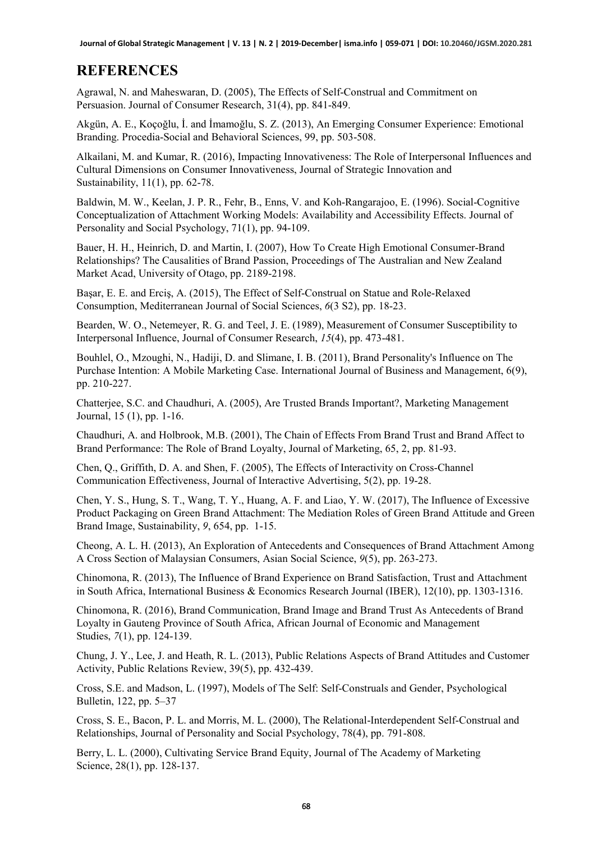#### **REFERENCES**

Agrawal, N. and Maheswaran, D. (2005), The Effects of Self-Construal and Commitment on Persuasion. Journal of Consumer Research, 31(4), pp. 841-849.

Akgün, A. E., Koçoğlu, İ. and İmamoğlu, S. Z. (2013), An Emerging Consumer Experience: Emotional Branding. Procedia-Social and Behavioral Sciences, 99, pp. 503-508.

Alkailani, M. and Kumar, R. (2016), Impacting Innovativeness: The Role of Interpersonal Influences and Cultural Dimensions on Consumer Innovativeness, Journal of Strategic Innovation and Sustainability, 11(1), pp. 62-78.

Baldwin, M. W., Keelan, J. P. R., Fehr, B., Enns, V. and Koh-Rangarajoo, E. (1996). Social-Cognitive Conceptualization of Attachment Working Models: Availability and Accessibility Effects. Journal of Personality and Social Psychology, 71(1), pp. 94-109.

Bauer, H. H., Heinrich, D. and Martin, I. (2007), How To Create High Emotional Consumer-Brand Relationships? The Causalities of Brand Passion, Proceedings of The Australian and New Zealand Market Acad, University of Otago, pp. 2189-2198.

Başar, E. E. and Erciş, A. (2015), The Effect of Self-Construal on Statue and Role-Relaxed Consumption, Mediterranean Journal of Social Sciences, *6*(3 S2), pp. 18-23.

Bearden, W. O., Netemeyer, R. G. and Teel, J. E. (1989), Measurement of Consumer Susceptibility to Interpersonal Influence, Journal of Consumer Research, *15*(4), pp. 473-481.

Bouhlel, O., Mzoughi, N., Hadiji, D. and Slimane, I. B. (2011), Brand Personality's Influence on The Purchase Intention: A Mobile Marketing Case. International Journal of Business and Management, 6(9), pp. 210-227.

Chatterjee, S.C. and Chaudhuri, A. (2005), Are Trusted Brands Important?, Marketing Management Journal, 15 (1), pp. 1-16.

Chaudhuri, A. and Holbrook, M.B. (2001), The Chain of Effects From Brand Trust and Brand Affect to Brand Performance: The Role of Brand Loyalty, Journal of Marketing, 65, 2, pp. 81-93.

Chen, Q., Griffith, D. A. and Shen, F. (2005), The Effects of Interactivity on Cross-Channel Communication Effectiveness, Journal of Interactive Advertising, 5(2), pp. 19-28.

Chen, Y. S., Hung, S. T., Wang, T. Y., Huang, A. F. and Liao, Y. W. (2017), The Influence of Excessive Product Packaging on Green Brand Attachment: The Mediation Roles of Green Brand Attitude and Green Brand Image, Sustainability, *9*, 654, pp. 1-15.

Cheong, A. L. H. (2013), An Exploration of Antecedents and Consequences of Brand Attachment Among A Cross Section of Malaysian Consumers, Asian Social Science, *9*(5), pp. 263-273.

Chinomona, R. (2013), The Influence of Brand Experience on Brand Satisfaction, Trust and Attachment in South Africa, International Business & Economics Research Journal (IBER), 12(10), pp. 1303-1316.

Chinomona, R. (2016), Brand Communication, Brand Image and Brand Trust As Antecedents of Brand Loyalty in Gauteng Province of South Africa, African Journal of Economic and Management Studies, *7*(1), pp. 124-139.

Chung, J. Y., Lee, J. and Heath, R. L. (2013), Public Relations Aspects of Brand Attitudes and Customer Activity, Public Relations Review, 39(5), pp. 432-439.

Cross, S.E. and Madson, L. (1997), Models of The Self: Self-Construals and Gender, Psychological Bulletin, 122, pp. 5–37

Cross, S. E., Bacon, P. L. and Morris, M. L. (2000), The Relational-Interdependent Self-Construal and Relationships, Journal of Personality and Social Psychology, 78(4), pp. 791-808.

Berry, L. L. (2000), Cultivating Service Brand Equity, Journal of The Academy of Marketing Science, 28(1), pp. 128-137.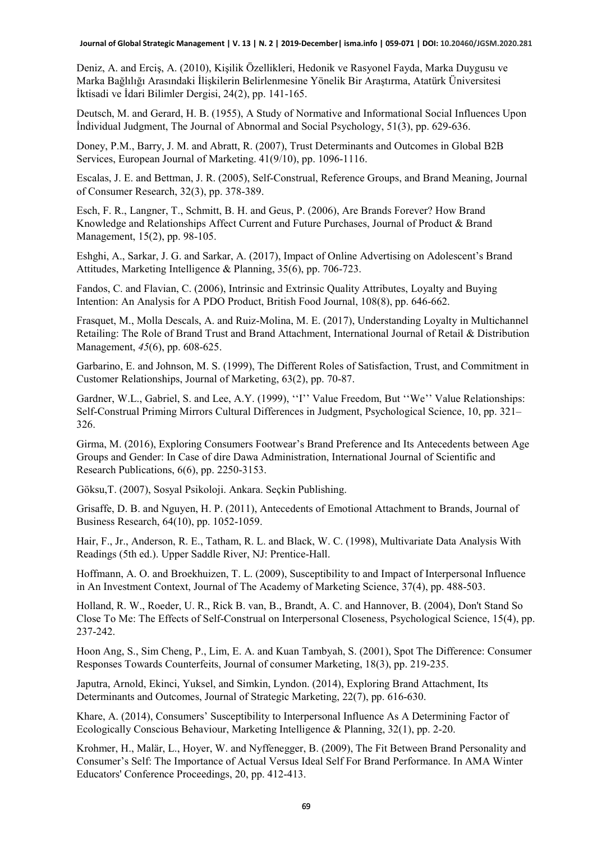Deniz, A. and Erciş, A. (2010), Kişilik Özellikleri, Hedonik ve Rasyonel Fayda, Marka Duygusu ve Marka Bağlılığı Arasındaki İlişkilerin Belirlenmesine Yönelik Bir Araştırma, Atatürk Üniversitesi İktisadi ve İdari Bilimler Dergisi, 24(2), pp. 141-165.

Deutsch, M. and Gerard, H. B. (1955), A Study of Normative and Informational Social Influences Upon İndividual Judgment, The Journal of Abnormal and Social Psychology, 51(3), pp. 629-636.

Doney, P.M., Barry, J. M. and Abratt, R. (2007), Trust Determinants and Outcomes in Global B2B Services, European Journal of Marketing. 41(9/10), pp. 1096-1116.

Escalas, J. E. and Bettman, J. R. (2005), Self-Construal, Reference Groups, and Brand Meaning, Journal of Consumer Research, 32(3), pp. 378-389.

Esch, F. R., Langner, T., Schmitt, B. H. and Geus, P. (2006), Are Brands Forever? How Brand Knowledge and Relationships Affect Current and Future Purchases, Journal of Product & Brand Management, 15(2), pp. 98-105.

Eshghi, A., Sarkar, J. G. and Sarkar, A. (2017), Impact of Online Advertising on Adolescent's Brand Attitudes, Marketing Intelligence & Planning, 35(6), pp. 706-723.

Fandos, C. and Flavian, C. (2006), Intrinsic and Extrinsic Quality Attributes, Loyalty and Buying Intention: An Analysis for A PDO Product, British Food Journal, 108(8), pp. 646-662.

Frasquet, M., Molla Descals, A. and Ruiz-Molina, M. E. (2017), Understanding Loyalty in Multichannel Retailing: The Role of Brand Trust and Brand Attachment, International Journal of Retail & Distribution Management, *45*(6), pp. 608-625.

Garbarino, E. and Johnson, M. S. (1999), The Different Roles of Satisfaction, Trust, and Commitment in Customer Relationships, Journal of Marketing, 63(2), pp. 70-87.

Gardner, W.L., Gabriel, S. and Lee, A.Y. (1999), "I" Value Freedom, But "We" Value Relationships: Self-Construal Priming Mirrors Cultural Differences in Judgment, Psychological Science, 10, pp. 321– 326.

Girma, M. (2016), Exploring Consumers Footwear's Brand Preference and Its Antecedents between Age Groups and Gender: In Case of dire Dawa Administration, International Journal of Scientific and Research Publications, 6(6), pp. 2250-3153.

Göksu,T. (2007), Sosyal Psikoloji. Ankara. Seçkin Publishing.

Grisaffe, D. B. and Nguyen, H. P. (2011), Antecedents of Emotional Attachment to Brands, Journal of Business Research, 64(10), pp. 1052-1059.

Hair, F., Jr., Anderson, R. E., Tatham, R. L. and Black, W. C. (1998), Multivariate Data Analysis With Readings (5th ed.). Upper Saddle River, NJ: Prentice-Hall.

Hoffmann, A. O. and Broekhuizen, T. L. (2009), Susceptibility to and Impact of Interpersonal Influence in An Investment Context, Journal of The Academy of Marketing Science, 37(4), pp. 488-503.

Holland, R. W., Roeder, U. R., Rick B. van, B., Brandt, A. C. and Hannover, B. (2004), Don't Stand So Close To Me: The Effects of Self-Construal on Interpersonal Closeness, Psychological Science, 15(4), pp. 237-242.

Hoon Ang, S., Sim Cheng, P., Lim, E. A. and Kuan Tambyah, S. (2001), Spot The Difference: Consumer Responses Towards Counterfeits, Journal of consumer Marketing, 18(3), pp. 219-235.

Japutra, Arnold, Ekinci, Yuksel, and Simkin, Lyndon. (2014), Exploring Brand Attachment, Its Determinants and Outcomes, Journal of Strategic Marketing, 22(7), pp. 616-630.

Khare, A. (2014), Consumers' Susceptibility to Interpersonal Influence As A Determining Factor of Ecologically Conscious Behaviour, Marketing Intelligence & Planning, 32(1), pp. 2-20.

Krohmer, H., Malär, L., Hoyer, W. and Nyffenegger, B. (2009), The Fit Between Brand Personality and Consumer's Self: The Importance of Actual Versus Ideal Self For Brand Performance. In AMA Winter Educators' Conference Proceedings, 20, pp. 412-413.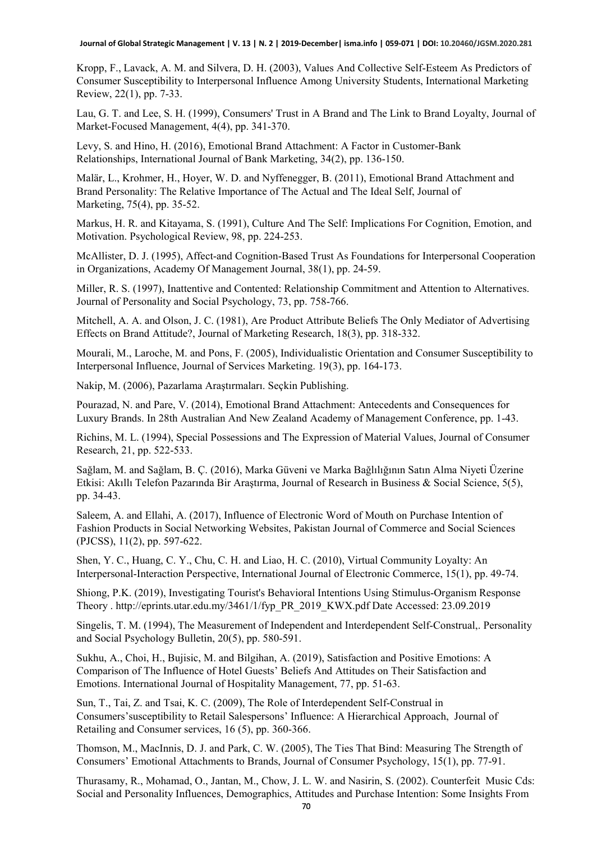Kropp, F., Lavack, A. M. and Silvera, D. H. (2003), Values And Collective Self-Esteem As Predictors of Consumer Susceptibility to Interpersonal Influence Among University Students, International Marketing Review, 22(1), pp. 7-33.

Lau, G. T. and Lee, S. H. (1999), Consumers' Trust in A Brand and The Link to Brand Loyalty, Journal of Market-Focused Management, 4(4), pp. 341-370.

Levy, S. and Hino, H. (2016), Emotional Brand Attachment: A Factor in Customer-Bank Relationships, International Journal of Bank Marketing, 34(2), pp. 136-150.

Malär, L., Krohmer, H., Hoyer, W. D. and Nyffenegger, B. (2011), Emotional Brand Attachment and Brand Personality: The Relative Importance of The Actual and The Ideal Self, Journal of Marketing, 75(4), pp. 35-52.

Markus, H. R. and Kitayama, S. (1991), Culture And The Self: Implications For Cognition, Emotion, and Motivation. Psychological Review, 98, pp. 224-253.

McAllister, D. J. (1995), Affect-and Cognition-Based Trust As Foundations for Interpersonal Cooperation in Organizations, Academy Of Management Journal, 38(1), pp. 24-59.

Miller, R. S. (1997), Inattentive and Contented: Relationship Commitment and Attention to Alternatives. Journal of Personality and Social Psychology, 73, pp. 758-766.

Mitchell, A. A. and Olson, J. C. (1981), Are Product Attribute Beliefs The Only Mediator of Advertising Effects on Brand Attitude?, Journal of Marketing Research, 18(3), pp. 318-332.

Mourali, M., Laroche, M. and Pons, F. (2005), Individualistic Orientation and Consumer Susceptibility to Interpersonal Influence, Journal of Services Marketing. 19(3), pp. 164-173.

Nakip, M. (2006), Pazarlama Araştırmaları. Seçkin Publishing.

Pourazad, N. and Pare, V. (2014), Emotional Brand Attachment: Antecedents and Consequences for Luxury Brands. In 28th Australian And New Zealand Academy of Management Conference, pp. 1-43.

Richins, M. L. (1994), Special Possessions and The Expression of Material Values, Journal of Consumer Research, 21, pp. 522-533.

Sağlam, M. and Sağlam, B. Ç. (2016), Marka Güveni ve Marka Bağlılığının Satın Alma Niyeti Üzerine Etkisi: Akıllı Telefon Pazarında Bir Araştırma, Journal of Research in Business & Social Science, 5(5), pp. 34-43.

Saleem, A. and Ellahi, A. (2017), Influence of Electronic Word of Mouth on Purchase Intention of Fashion Products in Social Networking Websites, Pakistan Journal of Commerce and Social Sciences (PJCSS), 11(2), pp. 597-622.

Shen, Y. C., Huang, C. Y., Chu, C. H. and Liao, H. C. (2010), Virtual Community Loyalty: An Interpersonal-Interaction Perspective, International Journal of Electronic Commerce, 15(1), pp. 49-74.

Shiong, P.K. (2019), Investigating Tourist's Behavioral Intentions Using Stimulus-Organism Response Theory . [http://eprints.utar.edu.my/3461/1/fyp\\_PR\\_2019\\_KWX.pdf](http://eprints.utar.edu.my/3461/1/fyp_PR_2019_KWX.pdf) Date Accessed: 23.09.2019

Singelis, T. M. (1994), The Measurement of Independent and Interdependent Self-Construal,. Personality and Social Psychology Bulletin, 20(5), pp. 580-591.

Sukhu, A., Choi, H., Bujisic, M. and Bilgihan, A. (2019), Satisfaction and Positive Emotions: A Comparison of The Influence of Hotel Guests' Beliefs And Attitudes on Their Satisfaction and Emotions. International Journal of Hospitality Management, 77, pp. 51-63.

Sun, T., Tai, Z. and Tsai, K. C. (2009), The Role of Interdependent Self-Construal in Consumers'susceptibility to Retail Salespersons' Influence: A Hierarchical Approach, Journal of Retailing and Consumer services, 16 (5), pp. 360-366.

Thomson, M., MacInnis, D. J. and Park, C. W. (2005), The Ties That Bind: Measuring The Strength of Consumers' Emotional Attachments to Brands, Journal of Consumer Psychology, 15(1), pp. 77-91.

Thurasamy, R., Mohamad, O., Jantan, M., Chow, J. L. W. and Nasirin, S. (2002). Counterfeit Music Cds: Social and Personality Influences, Demographics, Attitudes and Purchase Intention: Some Insights From